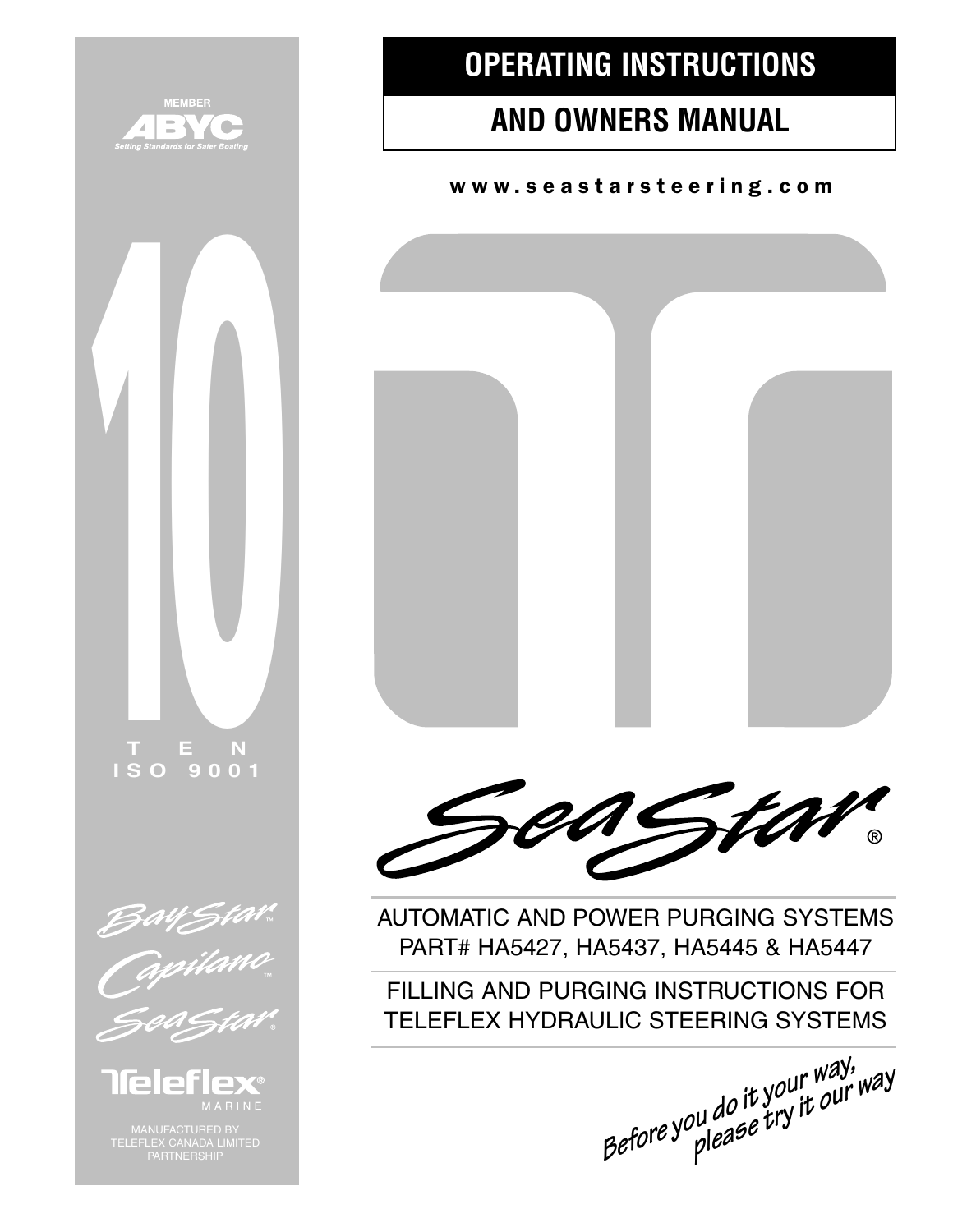

## **OPERATING INSTRUCTIONS**

## **AND OWNERS MANUAL**

www.seastarsteering.com





AUTOMATIC AND POWER PURGING SYSTEMS PART# HA5427, HA5437, HA5445 & HA5447

FILLING AND PURGING INSTRUCTIONS FOR TELEFLEX HYDRAULIC STEERING SYSTEMS

**Before <sup>y</sup>ou do it <sup>y</sup>our way, please try it ou<sup>r</sup> way**

**ISO 9001**

**TEN**

**10**



lleleri **EX®** 

MANUFACTURED BY TELEFLEX CANADA LIMITED PARTNERSHIP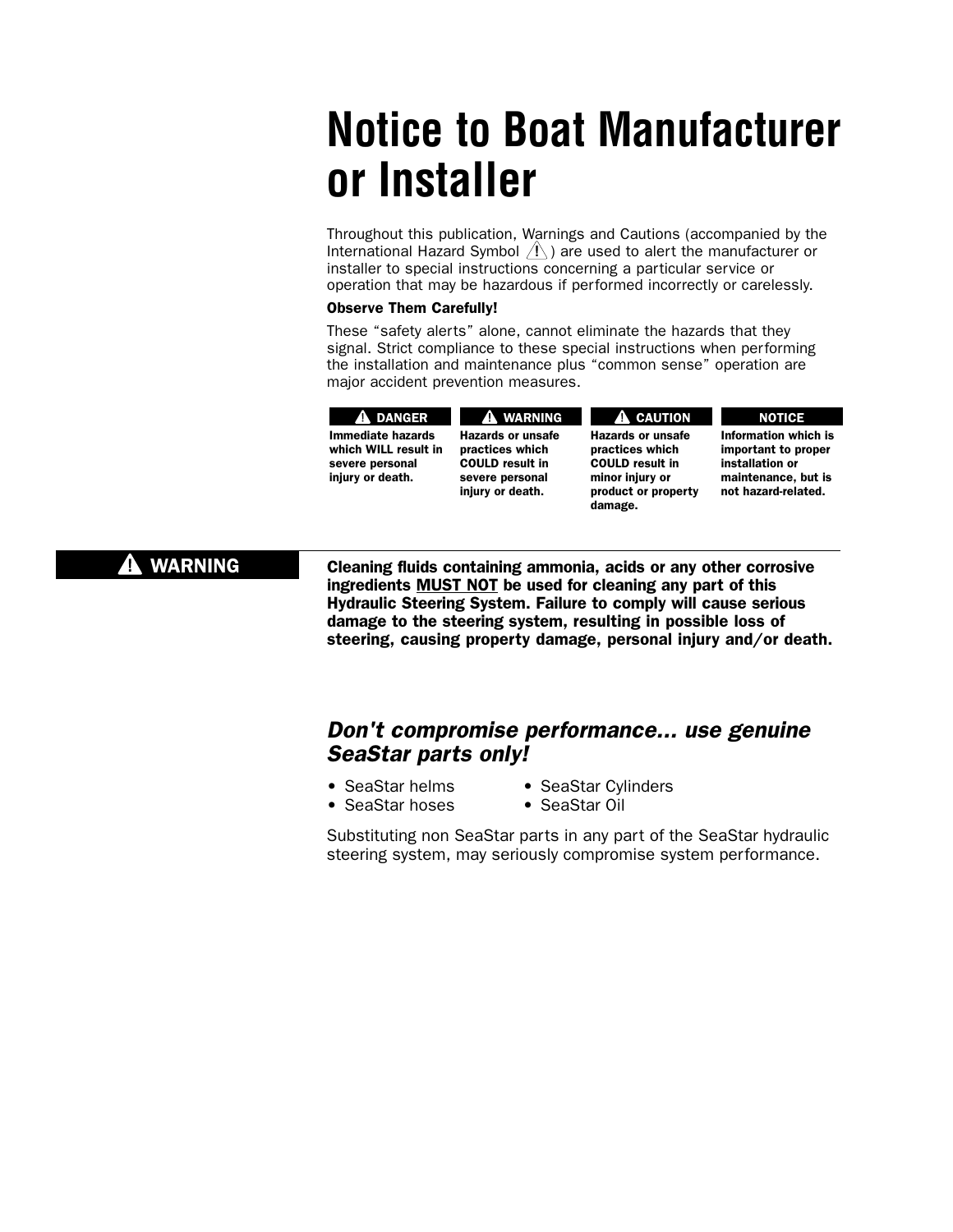# **Notice to Boat Manufacturer or Installer**

Throughout this publication, Warnings and Cautions (accompanied by the International Hazard Symbol  $\langle \cdot | \cdot \rangle$  are used to alert the manufacturer or installer to special instructions concerning a particular service or operation that may be hazardous if performed incorrectly or carelessly.

#### Observe Them Carefully!

These "safety alerts" alone, cannot eliminate the hazards that they signal. Strict compliance to these special instructions when performing the installation and maintenance plus "common sense" operation are major accident prevention measures.

| <b>A DANGER</b>      |
|----------------------|
| Immediate hazards    |
| which WILL result in |
| severe personal      |
| injury or death.     |
|                      |

Hazards or unsafe practices which COULD result in severe personal injury or death. **A** WARNING

#### Hazards or unsafe practices which COULD result in minor injury or product or property damage. **A** CAUTION

Information which is important to proper installation or maintenance, but is not hazard-related.

NOTICE

### **A** WARNING

Cleaning fluids containing ammonia, acids or any other corrosive ingredients MUST NOT be used for cleaning any part of this Hydraulic Steering System. Failure to comply will cause serious damage to the steering system, resulting in possible loss of steering, causing property damage, personal injury and/or death.

### Don't compromise performance... use genuine SeaStar parts only!

- 
- SeaStar helms SeaStar Cylinders
- SeaStar hoses SeaStar Oil
- -

Substituting non SeaStar parts in any part of the SeaStar hydraulic steering system, may seriously compromise system performance.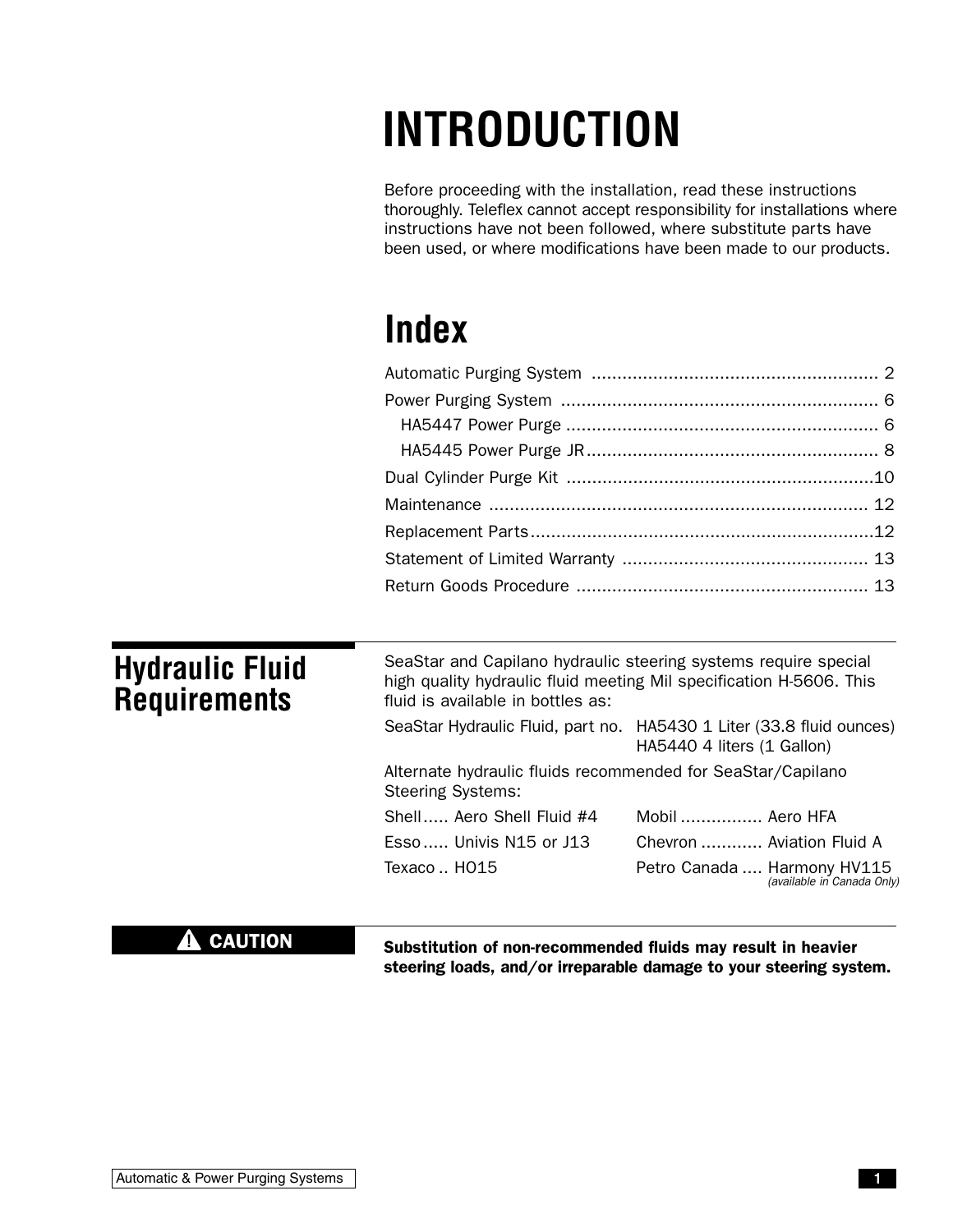# **INTRODUCTION**

Before proceeding with the installation, read these instructions thoroughly. Teleflex cannot accept responsibility for installations where instructions have not been followed, where substitute parts have been used, or where modifications have been made to our products.

# **Index**

| <b>Hydraulic Fluid</b><br><b>Requirements</b> | SeaStar and Capilano hydraulic steering systems require special<br>high quality hydraulic fluid meeting Mil specification H-5606. This<br>fluid is available in bottles as: |                                                                                                    |  |  |  |
|-----------------------------------------------|-----------------------------------------------------------------------------------------------------------------------------------------------------------------------------|----------------------------------------------------------------------------------------------------|--|--|--|
|                                               |                                                                                                                                                                             | SeaStar Hydraulic Fluid, part no. HA5430 1 Liter (33.8 fluid ounces)<br>HA5440 4 liters (1 Gallon) |  |  |  |
|                                               | Alternate hydraulic fluids recommended for SeaStar/Capilano<br><b>Steering Systems:</b>                                                                                     |                                                                                                    |  |  |  |
|                                               | Shell Aero Shell Fluid #4                                                                                                                                                   | Mobil  Aero HFA                                                                                    |  |  |  |
|                                               | $Esso$ Univis N15 or J13                                                                                                                                                    | Chevron  Aviation Fluid A                                                                          |  |  |  |
|                                               | Texaco HO15                                                                                                                                                                 | Petro Canada  Harmony HV115<br>(available in Canada Only)                                          |  |  |  |

### $\triangle$  CAUTION

Substitution of non-recommended fluids may result in heavier steering loads, and/or irreparable damage to your steering system.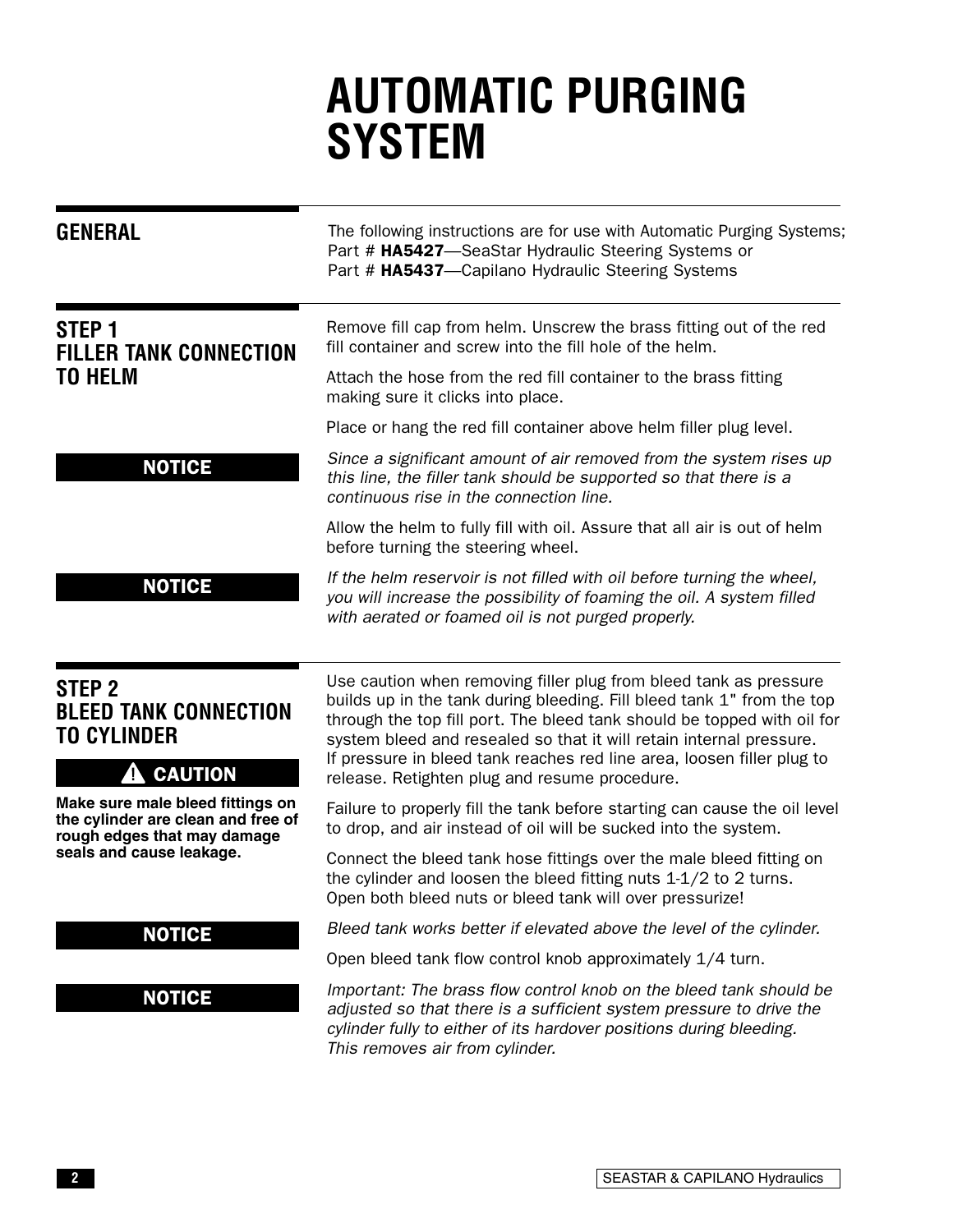# **AUTOMATIC PURGING SYSTEM**

| <b>GENERAL</b>                                                                                        | The following instructions are for use with Automatic Purging Systems;<br>Part # HA5427-SeaStar Hydraulic Steering Systems or<br>Part # HA5437-Capilano Hydraulic Steering Systems                                                                                                                                                                                      |
|-------------------------------------------------------------------------------------------------------|-------------------------------------------------------------------------------------------------------------------------------------------------------------------------------------------------------------------------------------------------------------------------------------------------------------------------------------------------------------------------|
| STEP <sub>1</sub><br><b>FILLER TANK CONNECTION</b>                                                    | Remove fill cap from helm. Unscrew the brass fitting out of the red<br>fill container and screw into the fill hole of the helm.                                                                                                                                                                                                                                         |
| <b>TO HELM</b>                                                                                        | Attach the hose from the red fill container to the brass fitting<br>making sure it clicks into place.                                                                                                                                                                                                                                                                   |
|                                                                                                       | Place or hang the red fill container above helm filler plug level.                                                                                                                                                                                                                                                                                                      |
| <b>NOTICE</b>                                                                                         | Since a significant amount of air removed from the system rises up<br>this line, the filler tank should be supported so that there is a<br>continuous rise in the connection line.                                                                                                                                                                                      |
|                                                                                                       | Allow the helm to fully fill with oil. Assure that all air is out of helm<br>before turning the steering wheel.                                                                                                                                                                                                                                                         |
| <b>NOTICE</b>                                                                                         | If the helm reservoir is not filled with oil before turning the wheel,<br>you will increase the possibility of foaming the oil. A system filled<br>with aerated or foamed oil is not purged properly.                                                                                                                                                                   |
| STEP <sub>2</sub><br><b>BLEED TANK CONNECTION</b><br><b>TO CYLINDER</b>                               | Use caution when removing filler plug from bleed tank as pressure<br>builds up in the tank during bleeding. Fill bleed tank 1" from the top<br>through the top fill port. The bleed tank should be topped with oil for<br>system bleed and resealed so that it will retain internal pressure.<br>If pressure in bleed tank reaches red line area, loosen filler plug to |
| <b>CAUTION</b><br>4                                                                                   | release. Retighten plug and resume procedure.                                                                                                                                                                                                                                                                                                                           |
| Make sure male bleed fittings on<br>the cylinder are clean and free of<br>rough edges that may damage | Failure to properly fill the tank before starting can cause the oil level<br>to drop, and air instead of oil will be sucked into the system.                                                                                                                                                                                                                            |
| seals and cause leakage.                                                                              | Connect the bleed tank hose fittings over the male bleed fitting on<br>the cylinder and loosen the bleed fitting nuts $1-1/2$ to 2 turns.<br>Open both bleed nuts or bleed tank will over pressurize!                                                                                                                                                                   |
| <b>NOTICE</b>                                                                                         | Bleed tank works better if elevated above the level of the cylinder.                                                                                                                                                                                                                                                                                                    |
|                                                                                                       | Open bleed tank flow control knob approximately 1/4 turn.                                                                                                                                                                                                                                                                                                               |
| <b>NOTICE</b>                                                                                         | Important: The brass flow control knob on the bleed tank should be<br>adjusted so that there is a sufficient system pressure to drive the<br>cylinder fully to either of its hardover positions during bleeding.<br>This removes air from cylinder.                                                                                                                     |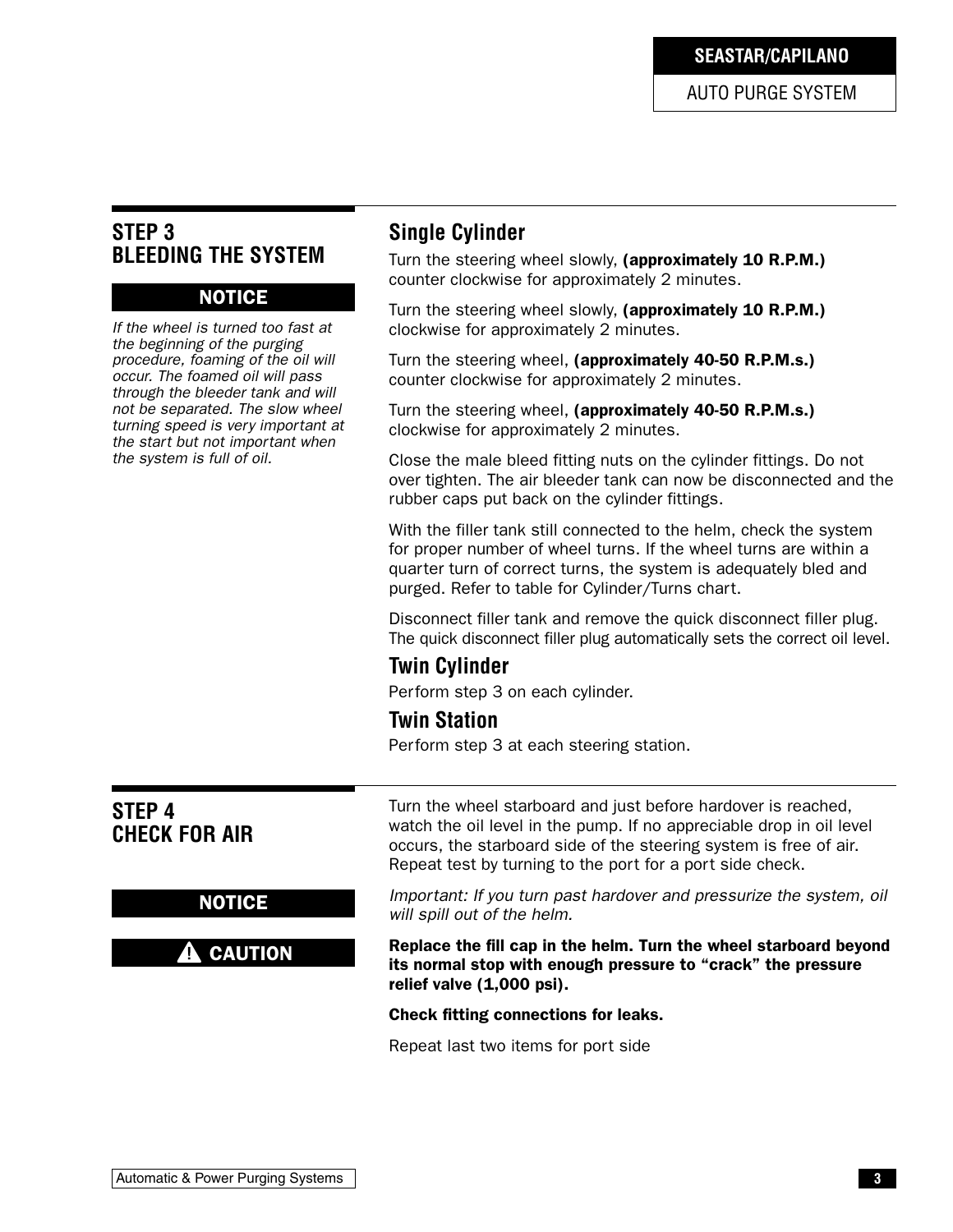**SEASTAR/CAPILANO**

AUTO PURGE SYSTEM

### **STEP 3 BLEEDING THE SYSTEM**

#### NOTICE

If the wheel is turned too fast at the beginning of the purging procedure, foaming of the oil will occur. The foamed oil will pass through the bleeder tank and will not be separated. The slow wheel turning speed is very important at the start but not important when the system is full of oil.

### **Single Cylinder**

Turn the steering wheel slowly, (approximately 10 R.P.M.) counter clockwise for approximately 2 minutes.

Turn the steering wheel slowly, (approximately 10 R.P.M.) clockwise for approximately 2 minutes.

Turn the steering wheel, (approximately 40-50 R.P.M.s.) counter clockwise for approximately 2 minutes.

Turn the steering wheel, (approximately 40-50 R.P.M.s.) clockwise for approximately 2 minutes.

Close the male bleed fitting nuts on the cylinder fittings. Do not over tighten. The air bleeder tank can now be disconnected and the rubber caps put back on the cylinder fittings.

With the filler tank still connected to the helm, check the system for proper number of wheel turns. If the wheel turns are within a quarter turn of correct turns, the system is adequately bled and purged. Refer to table for Cylinder/Turns chart.

Disconnect filler tank and remove the quick disconnect filler plug. The quick disconnect filler plug automatically sets the correct oil level.

### **Twin Cylinder**

Perform step 3 on each cylinder.

#### **Twin Station**

Perform step 3 at each steering station.

| STEP 4<br><b>CHECK FOR AIR</b> | Turn the wheel starboard and just before hardover is reached,<br>watch the oil level in the pump. If no appreciable drop in oil level<br>occurs, the starboard side of the steering system is free of air.<br>Repeat test by turning to the port for a port side check. |
|--------------------------------|-------------------------------------------------------------------------------------------------------------------------------------------------------------------------------------------------------------------------------------------------------------------------|
| <b>NOTICE</b>                  | Important: If you turn past hardover and pressurize the system, oil<br>will spill out of the helm.                                                                                                                                                                      |
| <b>CAUTION</b>                 | Replace the fill cap in the helm. Turn the wheel starboard beyond<br>its normal stop with enough pressure to "crack" the pressure<br>relief valve (1,000 psi).                                                                                                          |
|                                | Check fitting connections for leaks.                                                                                                                                                                                                                                    |
|                                | Repeat last two items for port side                                                                                                                                                                                                                                     |
|                                |                                                                                                                                                                                                                                                                         |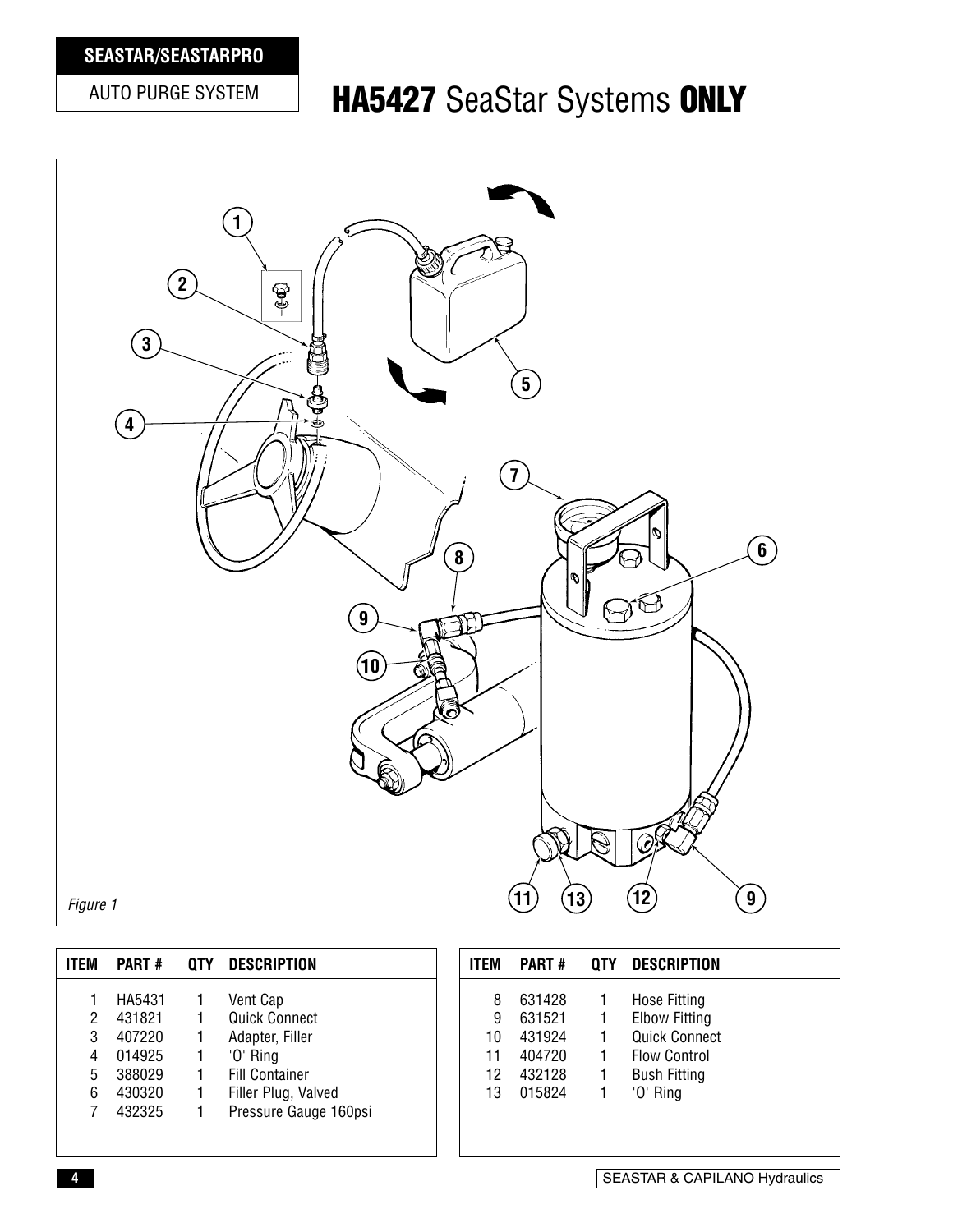### **SEASTAR/SEASTARPRO**

## AUTO PURGE SYSTEM **HA5427** SeaStar Systems **ONLY**



| <b>ITEM</b> | <b>PART#</b>     | 0TY | <b>DESCRIPTION</b>               | <b>ITEM</b> | <b>PART#</b>     | 0TY | <b>DESCRIPTION</b>                   |
|-------------|------------------|-----|----------------------------------|-------------|------------------|-----|--------------------------------------|
|             | HA5431<br>431821 |     | Vent Cap<br><b>Quick Connect</b> | 8<br>9      | 631428<br>631521 |     | Hose Fitting<br><b>Elbow Fitting</b> |
| 3           | 407220           |     | Adapter, Filler                  | 10          | 431924           |     | <b>Quick Connect</b>                 |
| 4           | 014925           |     | '0' Ring                         | 11          | 404720           |     | <b>Flow Control</b>                  |
| 5           | 388029           |     | <b>Fill Container</b>            | 12          | 432128           |     | <b>Bush Fitting</b>                  |
| 6           | 430320           |     | Filler Plug, Valved              | 13          | 015824           |     | '0' Ring                             |
|             | 432325           |     | Pressure Gauge 160psi            |             |                  |     |                                      |
|             |                  |     |                                  |             |                  |     |                                      |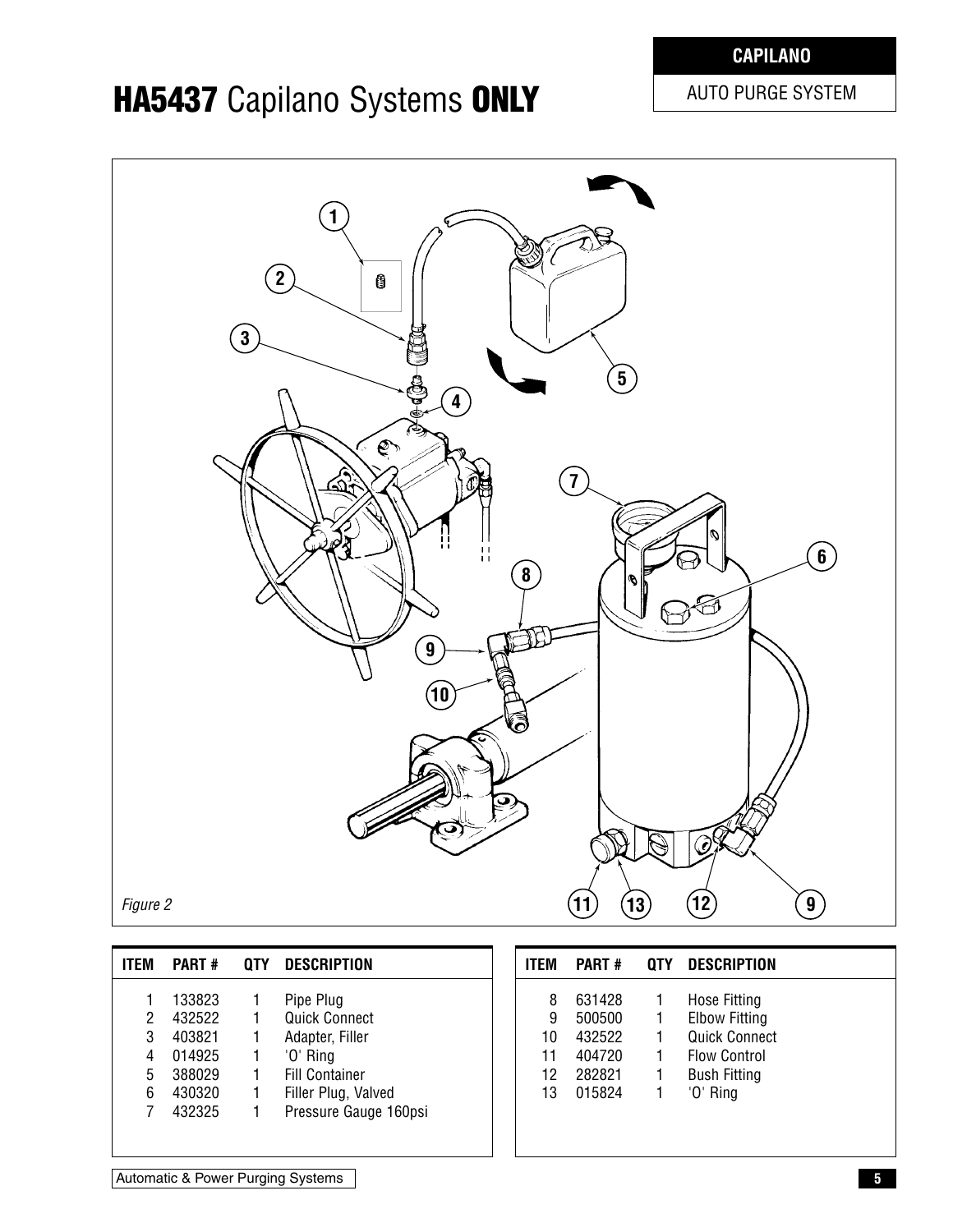### **CAPILANO**

## **HA5437** Capilano Systems **ONLY** AUTO PURGE SYSTEM



| <b>ITFM</b> | <b>PART#</b> | OTY | <b>DESCRIPTION</b>    |
|-------------|--------------|-----|-----------------------|
|             | 133823       |     | Pipe Plug             |
| 2           | 432522       |     | <b>Quick Connect</b>  |
| 3           | 403821       |     | Adapter, Filler       |
| 4           | 014925       |     | 'O' Ring              |
| 5           | 388029       | 1   | <b>Fill Container</b> |
| 6           | 430320       |     | Filler Plug, Valved   |
|             | 432325       |     | Pressure Gauge 160psi |
|             |              |     |                       |

| <b>ITFM</b> | <b>PART#</b> | 0TY | <b>DESCRIPTION</b>   |  |
|-------------|--------------|-----|----------------------|--|
| 8           | 631428       |     | Hose Fitting         |  |
| 9           | 500500       | 1   | <b>Elbow Fitting</b> |  |
| 10          | 432522       |     | <b>Quick Connect</b> |  |
| 11          | 404720       |     | <b>Flow Control</b>  |  |
| 12          | 282821       | 1   | <b>Bush Fitting</b>  |  |
| 13          | 015824       |     | '0' Ring             |  |
|             |              |     |                      |  |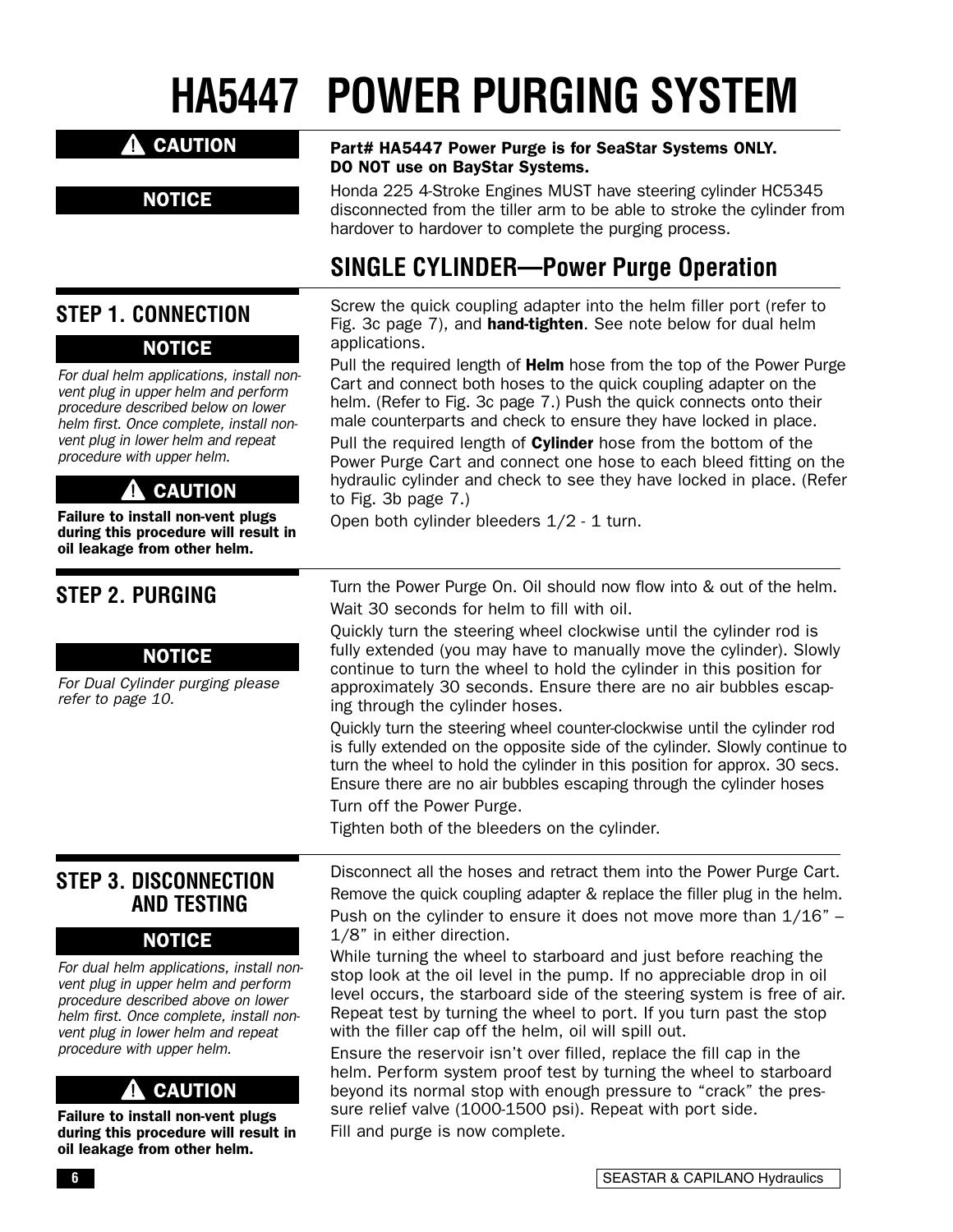# **HA5447 POWER PURGING SYSTEM**

#### A CAUTION

**NOTICE** 

For dual helm applications, install nonvent plug in upper helm and perform procedure described below on lower helm first. Once complete, install nonvent plug in lower helm and repeat procedure with upper helm.

**A** CAUTION Failure to install non-vent plugs during this procedure will result in oil leakage from other helm.

**NOTICE** 

**STEP 1. CONNECTION**

**STEP 2. PURGING**

refer to page 10.

#### Part# HA5447 Power Purge is for SeaStar Systems ONLY. DO NOT use on BayStar Systems.

Honda 225 4-Stroke Engines MUST have steering cylinder HC5345 disconnected from the tiller arm to be able to stroke the cylinder from hardover to hardover to complete the purging process.

## **SINGLE CYLINDER—Power Purge Operation**

Screw the quick coupling adapter into the helm filler port (refer to Fig. 3c page 7), and **hand-tighten**. See note below for dual helm applications.

Pull the required length of **Helm** hose from the top of the Power Purge Cart and connect both hoses to the quick coupling adapter on the helm. (Refer to Fig. 3c page 7.) Push the quick connects onto their male counterparts and check to ensure they have locked in place.

Pull the required length of **Cylinder** hose from the bottom of the Power Purge Cart and connect one hose to each bleed fitting on the hydraulic cylinder and check to see they have locked in place. (Refer to Fig. 3b page 7.)

Open both cylinder bleeders 1/2 - 1 turn.

Turn the Power Purge On. Oil should now flow into & out of the helm. Wait 30 seconds for helm to fill with oil.

Quickly turn the steering wheel clockwise until the cylinder rod is fully extended (you may have to manually move the cylinder). Slowly continue to turn the wheel to hold the cylinder in this position for approximately 30 seconds. Ensure there are no air bubbles escaping through the cylinder hoses.

Quickly turn the steering wheel counter-clockwise until the cylinder rod is fully extended on the opposite side of the cylinder. Slowly continue to turn the wheel to hold the cylinder in this position for approx. 30 secs. Ensure there are no air bubbles escaping through the cylinder hoses Turn off the Power Purge.

Tighten both of the bleeders on the cylinder.

**STEP 3. DISCONNECTION AND TESTING**

For Dual Cylinder purging please

NOTICE

#### **NOTICE**

For dual helm applications, install nonvent plug in upper helm and perform procedure described above on lower helm first. Once complete, install nonvent plug in lower helm and repeat procedure with upper helm.

#### CAUTION 41

Failure to install non-vent plugs during this procedure will result in oil leakage from other helm.

Disconnect all the hoses and retract them into the Power Purge Cart. Remove the quick coupling adapter & replace the filler plug in the helm. Push on the cylinder to ensure it does not move more than  $1/16"$  – 1/8" in either direction.

While turning the wheel to starboard and just before reaching the stop look at the oil level in the pump. If no appreciable drop in oil level occurs, the starboard side of the steering system is free of air. Repeat test by turning the wheel to port. If you turn past the stop with the filler cap off the helm, oil will spill out.

Ensure the reservoir isn't over filled, replace the fill cap in the helm. Perform system proof test by turning the wheel to starboard beyond its normal stop with enough pressure to "crack" the pressure relief valve (1000-1500 psi). Repeat with port side. Fill and purge is now complete.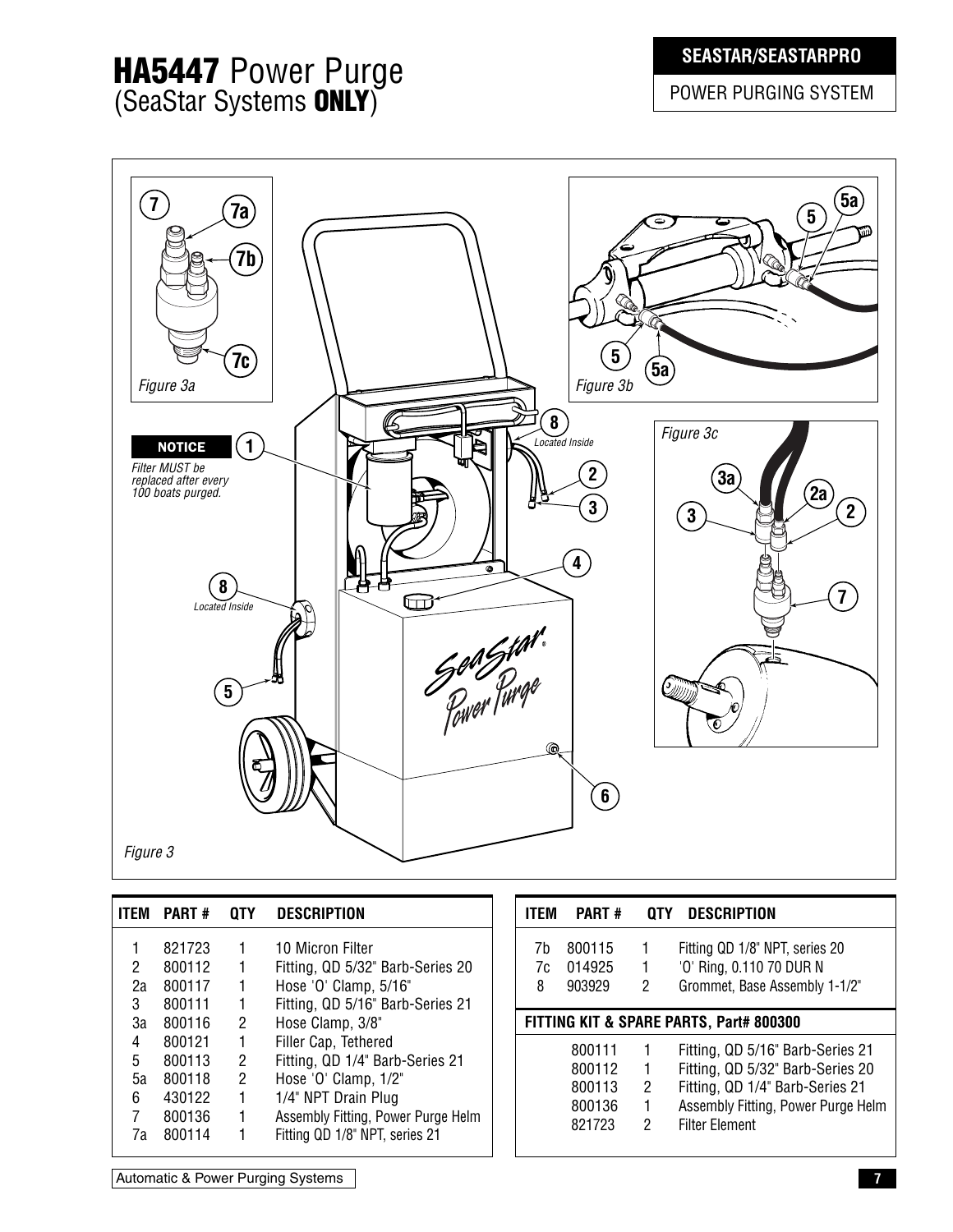### **SEASTAR/SEASTARPRO**

POWER PURGING SYSTEM

## **HA5447** Power Purge (SeaStar Systems **ONLY**)

| $\left(7\right)$<br>7a)<br>7 <sub>b</sub><br>$\mathbf{7c}$<br>Figure 3a                                                                                                                                                                                                 | $\left(5a\right)$<br>$5\phantom{.0}$<br>യ<br>$\overline{\mathbf{5}}$<br>$\binom{5a}{ }$<br>Figure 3b                                              |
|-------------------------------------------------------------------------------------------------------------------------------------------------------------------------------------------------------------------------------------------------------------------------|---------------------------------------------------------------------------------------------------------------------------------------------------|
| $\left( \begin{matrix} 8 \end{matrix} \right)$<br>(1)<br>Located Inside<br><b>NOTICE</b><br>Filter MUST be<br>replaced after every<br>100 boats purged.<br>Ω<br>8<br>$\bullet$<br>$\boldsymbol{8}$<br>$\bm \Xi$<br>Located Inside<br>Son Star.<br>$\left(5\right)$<br>Q | Figure 3c<br>$\overline{2}$<br>3a<br>$\mathbf{2a}$<br>3 <sup>1</sup><br>$\left( 2\right)$<br>$\mathbf{3}$<br>4<br>$\overline{7}$<br>$\sigma_{dl}$ |
| Figure 3                                                                                                                                                                                                                                                                | $\left[6\right)$                                                                                                                                  |

| <b>ITFM</b> | <b>PART#</b> | 0TY | <b>DESCRIPTION</b>                 |
|-------------|--------------|-----|------------------------------------|
|             | 821723       | 1   | 10 Micron Filter                   |
| 2           | 800112       | 1   | Fitting, QD 5/32" Barb-Series 20   |
| 2a          | 800117       | 1   | Hose 'O' Clamp, 5/16"              |
| 3           | 800111       | 1   | Fitting, QD 5/16" Barb-Series 21   |
| За          | 800116       | 2   | Hose Clamp, 3/8"                   |
| 4           | 800121       | 1   | Filler Cap, Tethered               |
| 5           | 800113       | 2   | Fitting, QD 1/4" Barb-Series 21    |
| 5а          | 800118       | 2   | Hose 'O' Clamp, 1/2"               |
| 6           | 430122       | 1   | 1/4" NPT Drain Plug                |
| 7           | 800136       | 1   | Assembly Fitting, Power Purge Helm |
| 7a          | 800114       | 1   | Fitting QD 1/8" NPT, series 21     |

| <b>ITFM</b> | <b>PART#</b>                                   |                          | <b>QTY DESCRIPTION</b>                                                                                                                                                 |
|-------------|------------------------------------------------|--------------------------|------------------------------------------------------------------------------------------------------------------------------------------------------------------------|
| 7h<br>8     | 800115<br>7c 014925<br>903929                  | 1<br>$\overline{1}$<br>2 | Fitting QD 1/8" NPT, series 20<br>'O' Ring, 0.110 70 DUR N<br>Grommet, Base Assembly 1-1/2"                                                                            |
|             |                                                |                          | FITTING KIT & SPARE PARTS, Part# 800300                                                                                                                                |
|             | 800111<br>800112<br>800113<br>800136<br>821723 | 1<br>1<br>2<br>1<br>2    | Fitting, QD 5/16" Barb-Series 21<br>Fitting, QD 5/32" Barb-Series 20<br>Fitting, QD 1/4" Barb-Series 21<br>Assembly Fitting, Power Purge Helm<br><b>Filter Flement</b> |

Automatic & Power Purging Systems **7**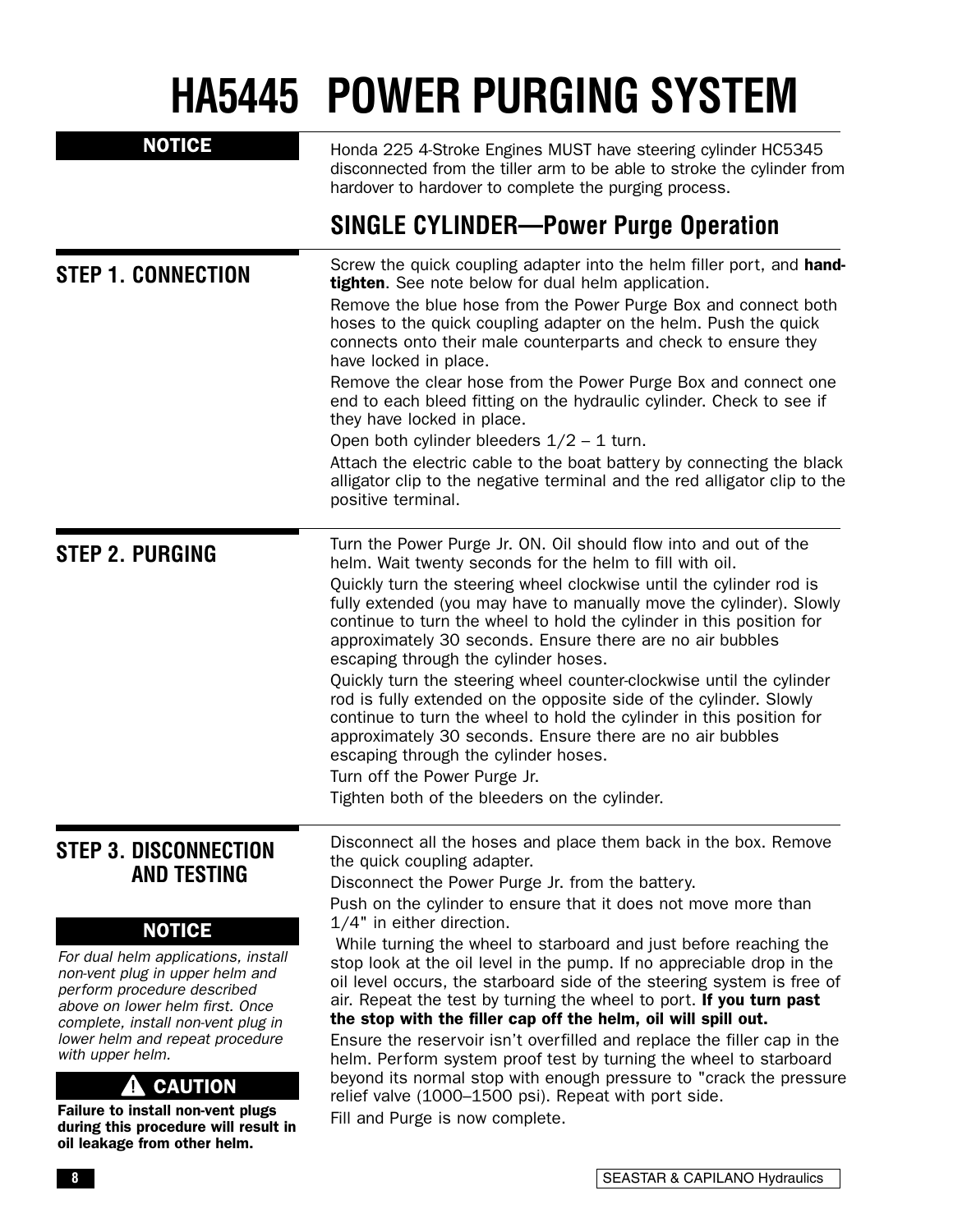# **HA5445 POWER PURGING SYSTEM**

| <b>NOTICE</b>                                                                                                                                                                                                                                                                                                                                                                                                                               | Honda 225 4-Stroke Engines MUST have steering cylinder HC5345<br>disconnected from the tiller arm to be able to stroke the cylinder from<br>hardover to hardover to complete the purging process.                                                                                                                                                                                                                                                                                                                                                                                                                                                                                                                                                                                                                                                                                                                                   |
|---------------------------------------------------------------------------------------------------------------------------------------------------------------------------------------------------------------------------------------------------------------------------------------------------------------------------------------------------------------------------------------------------------------------------------------------|-------------------------------------------------------------------------------------------------------------------------------------------------------------------------------------------------------------------------------------------------------------------------------------------------------------------------------------------------------------------------------------------------------------------------------------------------------------------------------------------------------------------------------------------------------------------------------------------------------------------------------------------------------------------------------------------------------------------------------------------------------------------------------------------------------------------------------------------------------------------------------------------------------------------------------------|
|                                                                                                                                                                                                                                                                                                                                                                                                                                             | <b>SINGLE CYLINDER-Power Purge Operation</b>                                                                                                                                                                                                                                                                                                                                                                                                                                                                                                                                                                                                                                                                                                                                                                                                                                                                                        |
| <b>STEP 1. CONNECTION</b>                                                                                                                                                                                                                                                                                                                                                                                                                   | Screw the quick coupling adapter into the helm filler port, and hand-<br>tighten. See note below for dual helm application.<br>Remove the blue hose from the Power Purge Box and connect both<br>hoses to the quick coupling adapter on the helm. Push the quick<br>connects onto their male counterparts and check to ensure they<br>have locked in place.<br>Remove the clear hose from the Power Purge Box and connect one<br>end to each bleed fitting on the hydraulic cylinder. Check to see if<br>they have locked in place.<br>Open both cylinder bleeders $1/2 - 1$ turn.<br>Attach the electric cable to the boat battery by connecting the black<br>alligator clip to the negative terminal and the red alligator clip to the<br>positive terminal.                                                                                                                                                                      |
| <b>STEP 2. PURGING</b>                                                                                                                                                                                                                                                                                                                                                                                                                      | Turn the Power Purge Jr. ON. Oil should flow into and out of the<br>helm. Wait twenty seconds for the helm to fill with oil.<br>Quickly turn the steering wheel clockwise until the cylinder rod is<br>fully extended (you may have to manually move the cylinder). Slowly<br>continue to turn the wheel to hold the cylinder in this position for<br>approximately 30 seconds. Ensure there are no air bubbles<br>escaping through the cylinder hoses.<br>Quickly turn the steering wheel counter-clockwise until the cylinder<br>rod is fully extended on the opposite side of the cylinder. Slowly<br>continue to turn the wheel to hold the cylinder in this position for<br>approximately 30 seconds. Ensure there are no air bubbles<br>escaping through the cylinder hoses.<br>Turn off the Power Purge Jr.<br>Tighten both of the bleeders on the cylinder.                                                                 |
| <b>STEP 3. DISCONNECTION</b><br><b>AND TESTING</b><br><b>NOTICE</b><br>For dual helm applications, install<br>non-vent plug in upper helm and<br>perform procedure described<br>above on lower helm first. Once<br>complete, install non-vent plug in<br>lower helm and repeat procedure<br>with upper helm.<br><b>CAUTION</b><br>Failure to install non-vent plugs<br>during this procedure will result in<br>oil leakage from other helm. | Disconnect all the hoses and place them back in the box. Remove<br>the quick coupling adapter.<br>Disconnect the Power Purge Jr. from the battery.<br>Push on the cylinder to ensure that it does not move more than<br>1/4" in either direction.<br>While turning the wheel to starboard and just before reaching the<br>stop look at the oil level in the pump. If no appreciable drop in the<br>oil level occurs, the starboard side of the steering system is free of<br>air. Repeat the test by turning the wheel to port. If you turn past<br>the stop with the filler cap off the helm, oil will spill out.<br>Ensure the reservoir isn't overfilled and replace the filler cap in the<br>helm. Perform system proof test by turning the wheel to starboard<br>beyond its normal stop with enough pressure to "crack the pressure<br>relief valve (1000-1500 psi). Repeat with port side.<br>Fill and Purge is now complete. |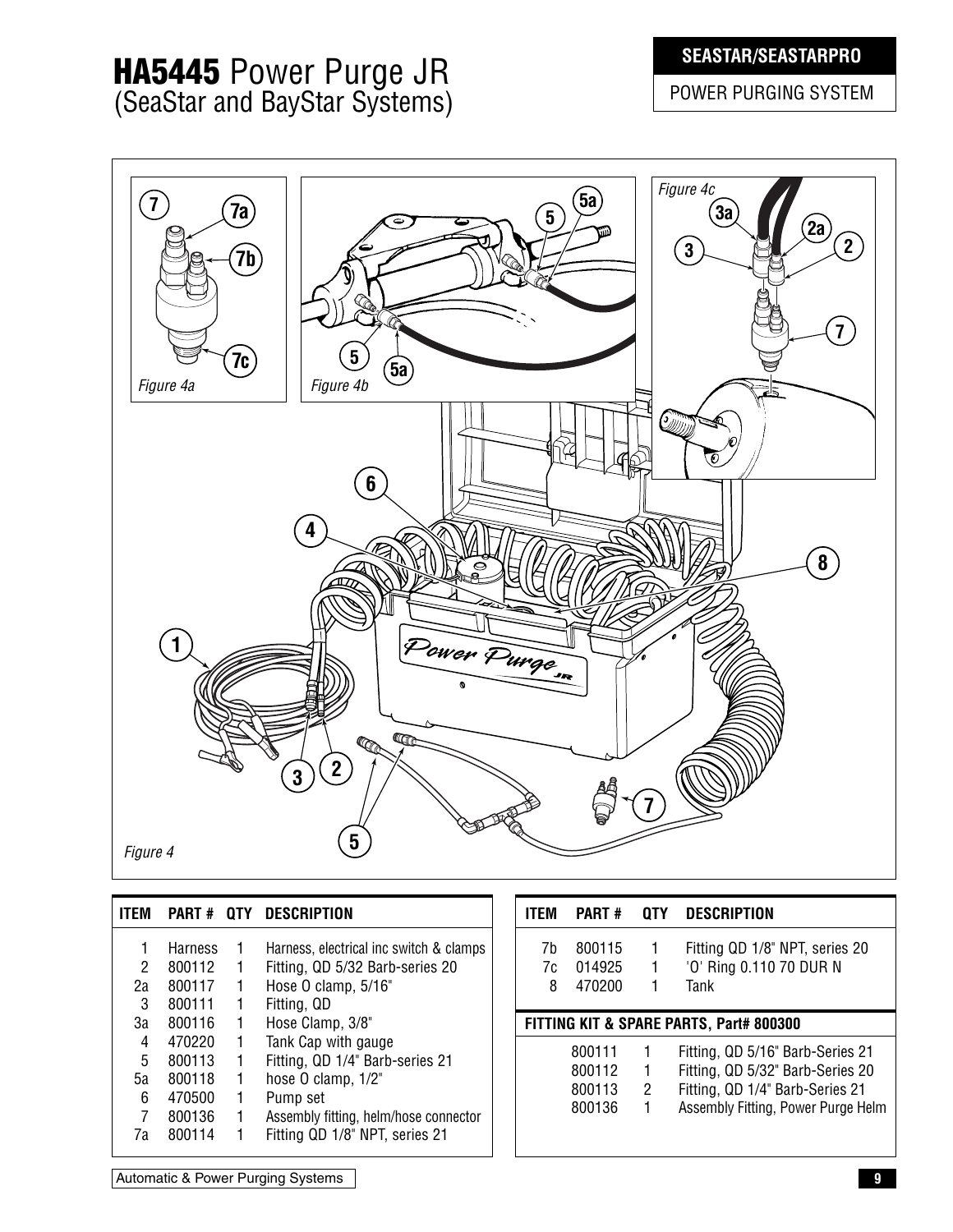### **SEASTAR/SEASTARPRO**

## **HA5445** Power Purge JR (SeaStar and BayStar Systems)

POWER PURGING SYSTEM



| <b>ITEM</b>             | PART# QTY                                                | DESCRIPTION                                                                                                                                                         | <b>ITEM</b>                             | <b>PART#</b>                         | 0TY | <b>DESCRIPTION</b>                                                                                                                            |  |
|-------------------------|----------------------------------------------------------|---------------------------------------------------------------------------------------------------------------------------------------------------------------------|-----------------------------------------|--------------------------------------|-----|-----------------------------------------------------------------------------------------------------------------------------------------------|--|
| 2<br>2a<br>3            | <b>Harness</b><br>800112<br>800117<br>800111             | Harness, electrical inc switch & clamps<br>Fitting, QD 5/32 Barb-series 20<br>Hose O clamp, 5/16"<br>Fitting, QD                                                    | 7h<br>7c<br>8                           | 800115<br>014925<br>470200           |     | Fitting QD 1/8" NPT, series 20<br>'O' Ring 0.110 70 DUR N<br>Tank                                                                             |  |
| За                      | 800116                                                   | Hose Clamp, 3/8"                                                                                                                                                    | FITTING KIT & SPARE PARTS, Part# 800300 |                                      |     |                                                                                                                                               |  |
| 4<br>5<br>5а<br>6<br>7a | 470220<br>800113<br>800118<br>470500<br>800136<br>800114 | Tank Cap with gauge<br>Fitting, QD 1/4" Barb-series 21<br>hose O clamp, 1/2"<br>Pump set<br>Assembly fitting, helm/hose connector<br>Fitting QD 1/8" NPT, series 21 |                                         | 800111<br>800112<br>800113<br>800136 | 2   | Fitting, QD 5/16" Barb-Series 21<br>Fitting, QD 5/32" Barb-Series 20<br>Fitting, QD 1/4" Barb-Series 21<br>Assembly Fitting, Power Purge Helm |  |

Automatic & Power Purging Systems **9**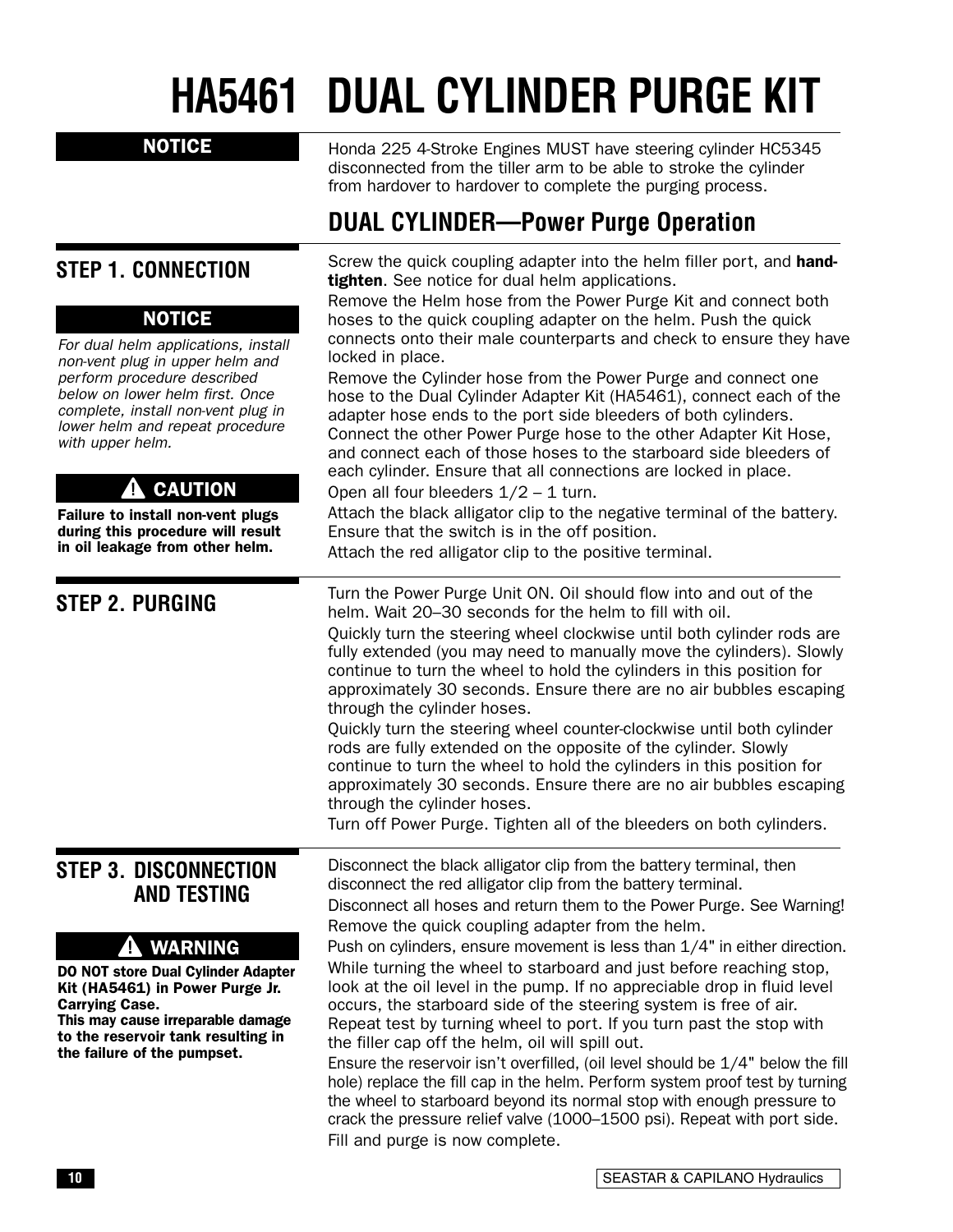# **HA5461 DUAL CYLINDER PURGE KIT**

#### NOTICE

Honda 225 4-Stroke Engines MUST have steering cylinder HC5345 disconnected from the tiller arm to be able to stroke the cylinder from hardover to hardover to complete the purging process.

## **DUAL CYLINDER—Power Purge Operation**

Screw the quick coupling adapter into the helm filler port, and hand-**STEP 1. CONNECTION** tighten. See notice for dual helm applications. Remove the Helm hose from the Power Purge Kit and connect both NOTICE hoses to the quick coupling adapter on the helm. Push the quick connects onto their male counterparts and check to ensure they have For dual helm applications, install locked in place. non-vent plug in upper helm and perform procedure described Remove the Cylinder hose from the Power Purge and connect one below on lower helm first. Once hose to the Dual Cylinder Adapter Kit (HA5461), connect each of the complete, install non-vent plug in adapter hose ends to the port side bleeders of both cylinders. lower helm and repeat procedure Connect the other Power Purge hose to the other Adapter Kit Hose, with upper helm. and connect each of those hoses to the starboard side bleeders of each cylinder. Ensure that all connections are locked in place. **CAUTION** 4 Open all four bleeders  $1/2 - 1$  turn. Attach the black alligator clip to the negative terminal of the battery. Failure to install non-vent plugs during this procedure will result Ensure that the switch is in the off position. in oil leakage from other helm. Attach the red alligator clip to the positive terminal. Turn the Power Purge Unit ON. Oil should flow into and out of the **STEP 2. PURGING** helm. Wait 20–30 seconds for the helm to fill with oil. Quickly turn the steering wheel clockwise until both cylinder rods are fully extended (you may need to manually move the cylinders). Slowly continue to turn the wheel to hold the cylinders in this position for approximately 30 seconds. Ensure there are no air bubbles escaping through the cylinder hoses. Quickly turn the steering wheel counter-clockwise until both cylinder rods are fully extended on the opposite of the cylinder. Slowly continue to turn the wheel to hold the cylinders in this position for approximately 30 seconds. Ensure there are no air bubbles escaping through the cylinder hoses. Turn off Power Purge. Tighten all of the bleeders on both cylinders. Disconnect the black alligator clip from the battery terminal, then **STEP 3. DISCONNECTION**  disconnect the red alligator clip from the battery terminal. **AND TESTING** Disconnect all hoses and return them to the Power Purge. See Warning! Remove the quick coupling adapter from the helm. **A** WARNING Push on cylinders, ensure movement is less than 1/4" in either direction. While turning the wheel to starboard and just before reaching stop, DO NOT store Dual Cylinder Adapter Kit (HA5461) in Power Purge Jr. look at the oil level in the pump. If no appreciable drop in fluid level Carrying Case. occurs, the starboard side of the steering system is free of air. This may cause irreparable damage Repeat test by turning wheel to port. If you turn past the stop with to the reservoir tank resulting in the filler cap off the helm, oil will spill out. the failure of the pumpset. Ensure the reservoir isn't overfilled, (oil level should be 1/4" below the fill hole) replace the fill cap in the helm. Perform system proof test by turning the wheel to starboard beyond its normal stop with enough pressure to

Fill and purge is now complete.

crack the pressure relief valve (1000–1500 psi). Repeat with port side.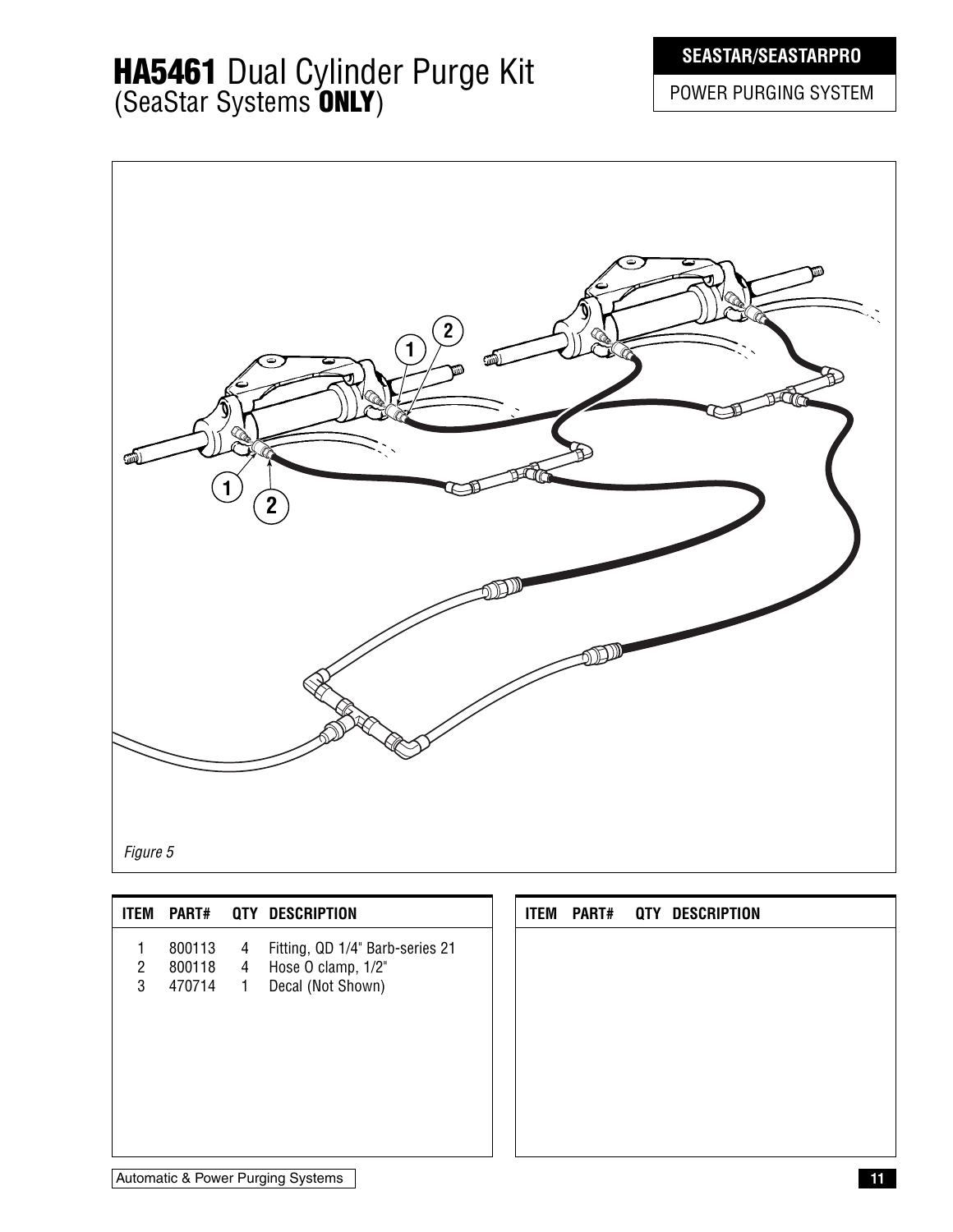## **HA5461** Dual Cylinder Purge Kit (SeaStar Systems **ONLY**)

### **SEASTAR/SEASTARPRO**

POWER PURGING SYSTEM



|                                |                              |                                  | ITEM PART# QTY DESCRIPTION                                                 |  |  | ITEM PART# QTY DESCRIPTION |
|--------------------------------|------------------------------|----------------------------------|----------------------------------------------------------------------------|--|--|----------------------------|
| $\overline{2}$<br>$\mathbf{3}$ | 800113<br>800118<br>470714 1 | $\overline{4}$<br>$\overline{4}$ | Fitting, QD 1/4" Barb-series 21<br>Hose O clamp, 1/2"<br>Decal (Not Shown) |  |  |                            |
|                                |                              |                                  |                                                                            |  |  |                            |

Automatic & Power Purging Systems **11**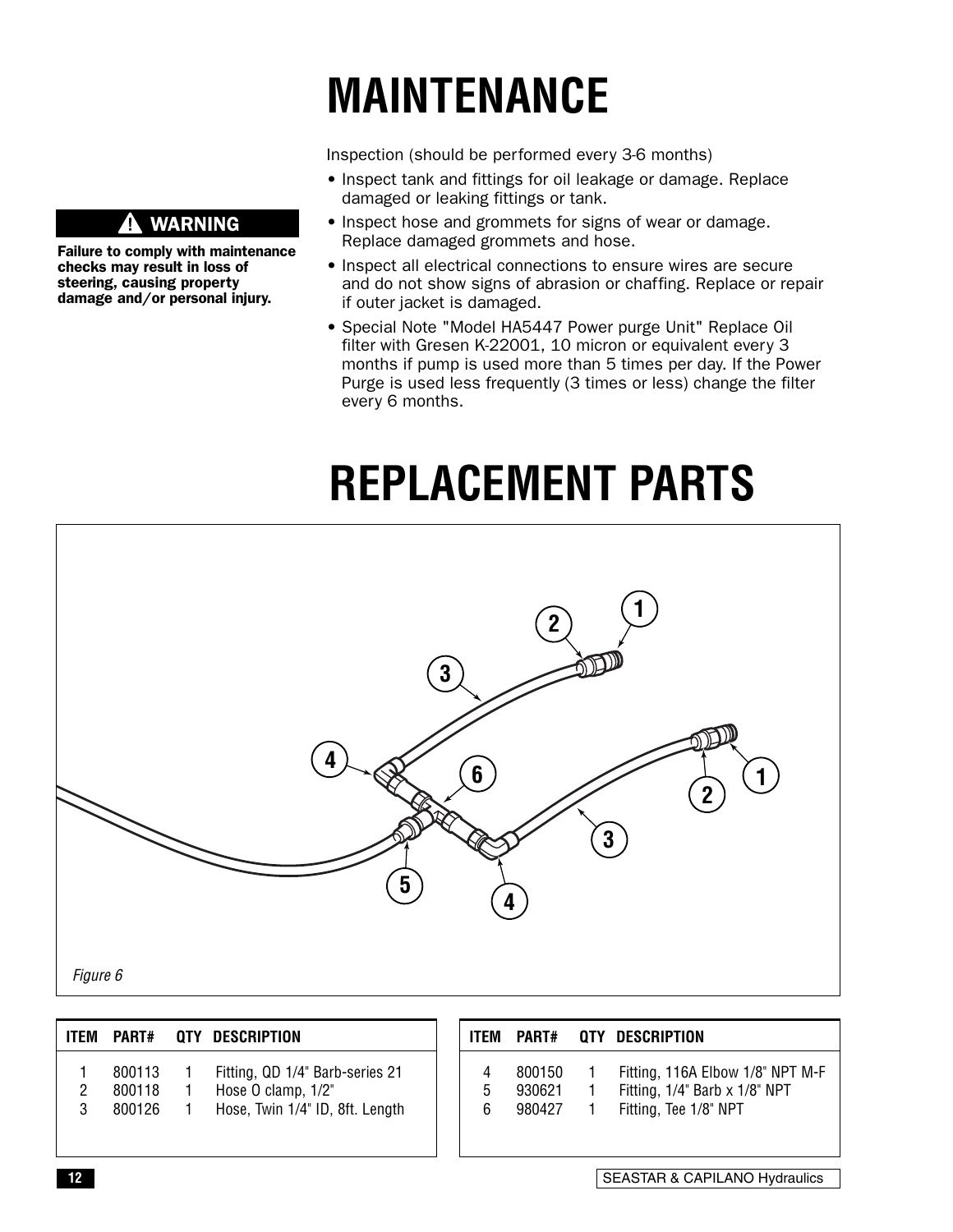# **MAINTENANCE**

Inspection (should be performed every 3-6 months)

- Inspect tank and fittings for oil leakage or damage. Replace damaged or leaking fittings or tank.
- Inspect hose and grommets for signs of wear or damage. Replace damaged grommets and hose.
- Inspect all electrical connections to ensure wires are secure and do not show signs of abrasion or chaffing. Replace or repair if outer jacket is damaged.
- Special Note "Model HA5447 Power purge Unit" Replace Oil filter with Gresen K-22001, 10 micron or equivalent every 3 months if pump is used more than 5 times per day. If the Power Purge is used less frequently (3 times or less) change the filter every 6 months.

# **REPLACEMENT PARTS**



| <b>ITEM</b> | <b>PART#</b> | QTY DESCRIPTION                 | <b>ITEM</b> | <b>PART#</b> | QTY DESCRIPTION                  |
|-------------|--------------|---------------------------------|-------------|--------------|----------------------------------|
|             | 800113       | Fitting, QD 1/4" Barb-series 21 |             | 800150       | Fitting, 116A Elbow 1/8" NPT M-F |
|             | 800118       | Hose O clamp, 1/2"              |             | 930621       | Fitting, 1/4" Barb x 1/8" NPT    |
|             | 800126       | Hose, Twin 1/4" ID, 8ft. Length |             | 980427       | Fitting, Tee 1/8" NPT            |
|             |              |                                 |             |              |                                  |

#### **WARNING**

Failure to comply with maintenance checks may result in loss of steering, causing property damage and/or personal injury.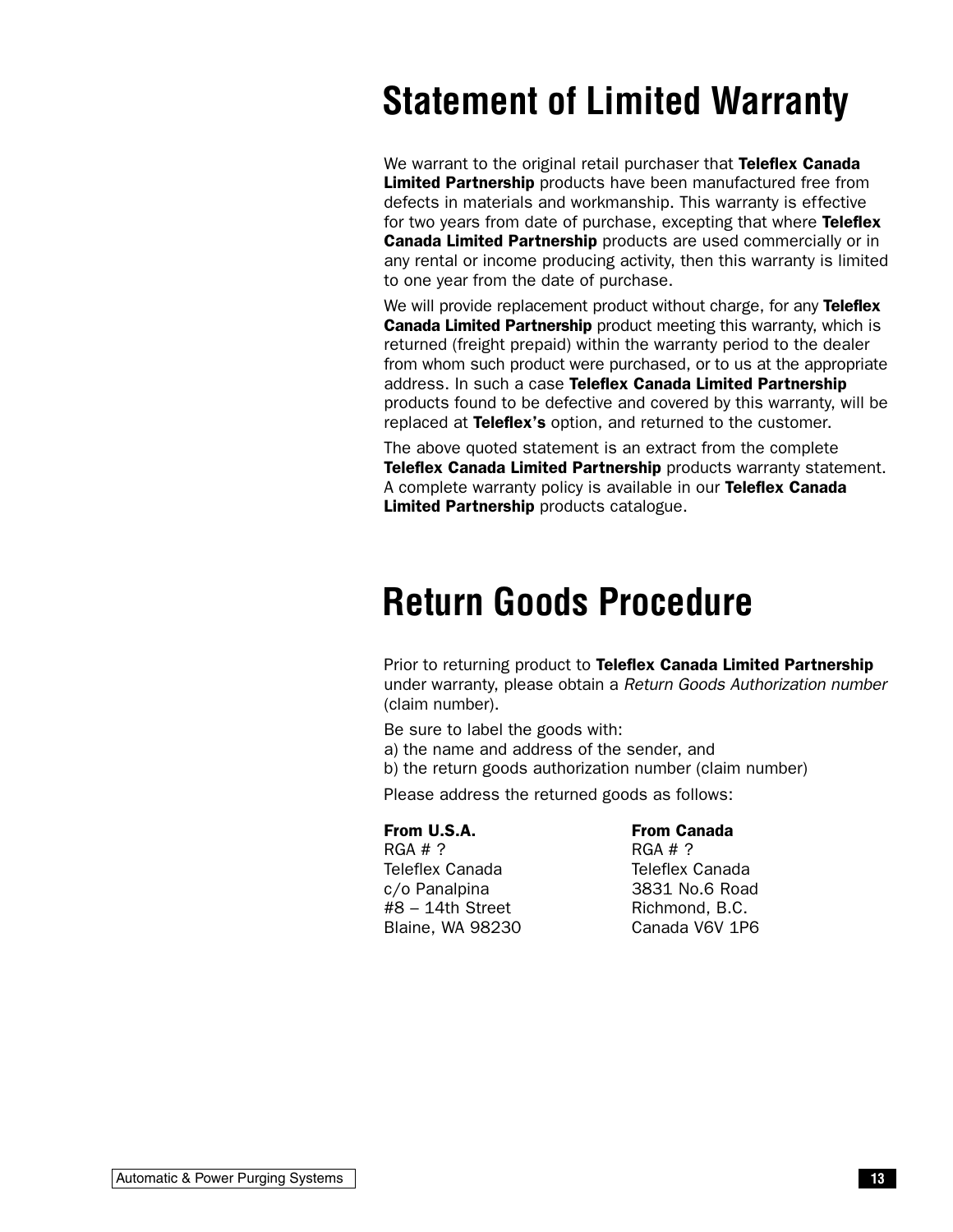# **Statement of Limited Warranty**

We warrant to the original retail purchaser that Teleflex Canada Limited Partnership products have been manufactured free from defects in materials and workmanship. This warranty is effective for two years from date of purchase, excepting that where Teleflex **Canada Limited Partnership** products are used commercially or in any rental or income producing activity, then this warranty is limited to one year from the date of purchase.

We will provide replacement product without charge, for any Teleflex Canada Limited Partnership product meeting this warranty, which is returned (freight prepaid) within the warranty period to the dealer from whom such product were purchased, or to us at the appropriate address. In such a case Teleflex Canada Limited Partnership products found to be defective and covered by this warranty, will be replaced at Teleflex's option, and returned to the customer.

The above quoted statement is an extract from the complete **Teleflex Canada Limited Partnership** products warranty statement. A complete warranty policy is available in our Teleflex Canada Limited Partnership products catalogue.

# **Return Goods Procedure**

Prior to returning product to Teleflex Canada Limited Partnership under warranty, please obtain a Return Goods Authorization number (claim number).

Be sure to label the goods with: a) the name and address of the sender, and

b) the return goods authorization number (claim number)

Please address the returned goods as follows:

#### From U.S.A.

RGA # ? Teleflex Canada c/o Panalpina #8 – 14th Street Blaine, WA 98230

#### From Canada

RGA # ? Teleflex Canada 3831 No.6 Road Richmond, B.C. Canada V6V 1P6